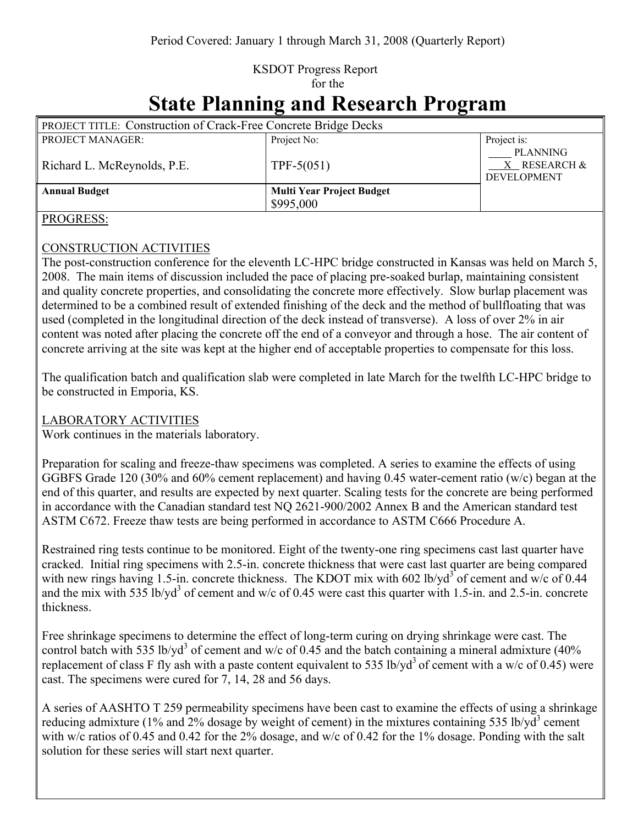### KSDOT Progress Report for the

# **State Planning and Research Program**

| <b>PROJECT TITLE: Construction of Crack-Free Concrete Bridge Decks</b> |                                  |                                                |
|------------------------------------------------------------------------|----------------------------------|------------------------------------------------|
| PROJECT MANAGER:                                                       | Project No:                      | Project is:                                    |
| Richard L. McReynolds, P.E.                                            | $TPF-5(051)$                     | PLANNING<br>X RESEARCH &<br><b>DEVELOPMENT</b> |
| <b>Annual Budget</b>                                                   | <b>Multi Year Project Budget</b> |                                                |
|                                                                        | \$995,000                        |                                                |

#### PROGRESS:

#### CONSTRUCTION ACTIVITIES

The post-construction conference for the eleventh LC-HPC bridge constructed in Kansas was held on March 5, 2008. The main items of discussion included the pace of placing pre-soaked burlap, maintaining consistent and quality concrete properties, and consolidating the concrete more effectively. Slow burlap placement was determined to be a combined result of extended finishing of the deck and the method of bullfloating that was used (completed in the longitudinal direction of the deck instead of transverse). A loss of over 2% in air content was noted after placing the concrete off the end of a conveyor and through a hose. The air content of concrete arriving at the site was kept at the higher end of acceptable properties to compensate for this loss.

The qualification batch and qualification slab were completed in late March for the twelfth LC-HPC bridge to be constructed in Emporia, KS.

#### LABORATORY ACTIVITIES

Work continues in the materials laboratory.

Preparation for scaling and freeze-thaw specimens was completed. A series to examine the effects of using GGBFS Grade 120 (30% and 60% cement replacement) and having 0.45 water-cement ratio (w/c) began at the end of this quarter, and results are expected by next quarter. Scaling tests for the concrete are being performed in accordance with the Canadian standard test NQ 2621-900/2002 Annex B and the American standard test ASTM C672. Freeze thaw tests are being performed in accordance to ASTM C666 Procedure A.

Restrained ring tests continue to be monitored. Eight of the twenty-one ring specimens cast last quarter have cracked. Initial ring specimens with 2.5-in. concrete thickness that were cast last quarter are being compared with new rings having 1.5-in. concrete thickness. The KDOT mix with 602 lb/yd<sup>3</sup> of cement and w/c of 0.44 and the mix with 535 lb/yd<sup>3</sup> of cement and w/c of 0.45 were cast this quarter with 1.5-in. and 2.5-in. concrete thickness.

Free shrinkage specimens to determine the effect of long-term curing on drying shrinkage were cast. The control batch with 535 lb/yd<sup>3</sup> of cement and w/c of 0.45 and the batch containing a mineral admixture (40%) replacement of class F fly ash with a paste content equivalent to 535 lb/yd<sup>3</sup> of cement with a w/c of 0.45) were cast. The specimens were cured for 7, 14, 28 and 56 days.

A series of AASHTO T 259 permeability specimens have been cast to examine the effects of using a shrinkage reducing admixture (1% and 2% dosage by weight of cement) in the mixtures containing 535 lb/yd<sup>3</sup> cement with w/c ratios of 0.45 and 0.42 for the 2% dosage, and w/c of 0.42 for the 1% dosage. Ponding with the salt solution for these series will start next quarter.